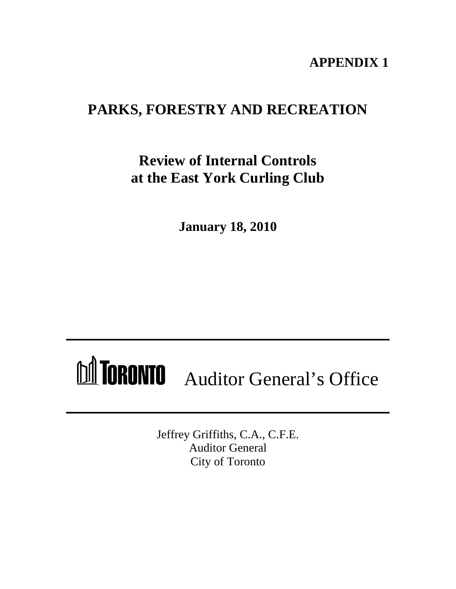# **APPENDIX 1**

# **PARKS, FORESTRY AND RECREATION**

# **Review of Internal Controls at the East York Curling Club**

**January 18, 2010**

# MICRONTO Auditor General's Office

Jeffrey Griffiths, C.A., C.F.E. Auditor General City of Toronto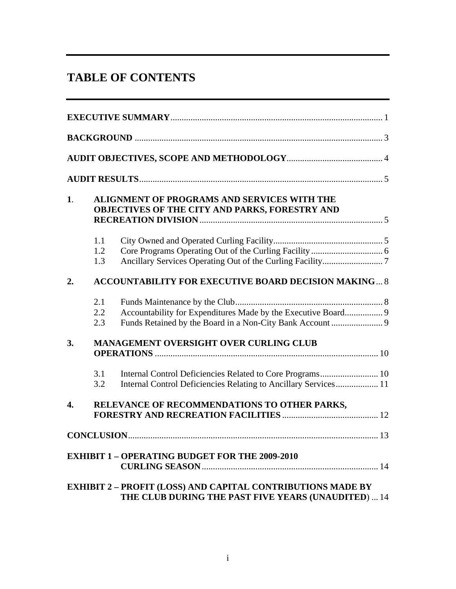# **TABLE OF CONTENTS**

| <b>EXECUTIVE SUMMARY.</b>                                                                                                                                                    |  |  |
|------------------------------------------------------------------------------------------------------------------------------------------------------------------------------|--|--|
| <b>BACKGROUND</b>                                                                                                                                                            |  |  |
| AUDIT OBJECTIVES, SCOPE AND METHODOLOGY.                                                                                                                                     |  |  |
| <b>AUDIT RESULTS.</b>                                                                                                                                                        |  |  |
| ALIGNMENT OF PROGRAMS AND SERVICES WITH THE<br>OBJECTIVES OF THE CITY AND PARKS, FORESTRY AND<br><b>RECREATION DIVISION.</b>                                                 |  |  |
| City Owned and Operated Curling Facility<br>Ancillary Services Operating Out of the Curling Facility<br>1.3                                                                  |  |  |
| <b>ACCOUNTABILITY FOR EXECUTIVE BOARD DECISION MAKING 8</b>                                                                                                                  |  |  |
| Funds Maintenance by the Club<br>2.1<br>Accountability for Expenditures Made by the Executive Board<br>2.2<br>Funds Retained by the Board in a Non-City Bank Account.<br>2.3 |  |  |
| MANAGEMENT OVERSIGHT OVER CURLING CLUB<br><b>OPERATIONS</b><br>10 <sup>1</sup>                                                                                               |  |  |
| Internal Control Deficiencies Related to Core Programs<br>10<br>3.1<br>Internal Control Deficiencies Relating to Ancillary Services<br>11<br>3.2                             |  |  |
| RELEVANCE OF RECOMMENDATIONS TO OTHER PARKS,<br><b>FORESTRY AND RECREATION FACILITIES.</b>                                                                                   |  |  |
| <b>CONCLUSION.</b>                                                                                                                                                           |  |  |
| <b>EXHIBIT 1 - OPERATING BUDGET FOR THE 2009-2010</b><br><b>CURLING SEASON.</b>                                                                                              |  |  |
| <b>EXHIBIT 2 - PROFIT (LOSS) AND CAPITAL CONTRIBUTIONS MADE BY</b>                                                                                                           |  |  |

**THE CLUB DURING THE PAST FIVE YEARS (UNAUDITED**) ... 14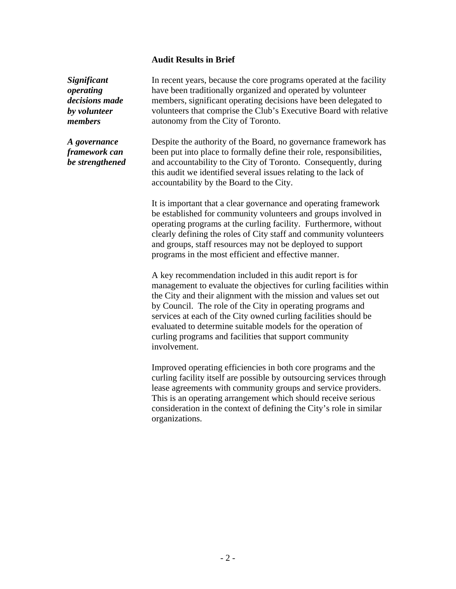*Significant*  In recent years, because the core programs operated at the facility *operating*  have been traditionally organized and operated by volunteer *decisions made*  members, significant operating decisions have been delegated to by *volunteer* volunteers that comprise the Club's Executive Board with relative *members* autonomy from the City of Toronto.

*A governance*  Despite the authority of the Board, no governance framework has *framework can*  been put into place to formally define their role, responsibilities, *be strengthened* and accountability to the City of Toronto. Consequently, during this audit we identified several issues relating to the lack of accountability by the Board to the City.

> It is important that a clear governance and operating framework be established for community volunteers and groups involved in operating programs at the curling facility. Furthermore, without clearly defining the roles of City staff and community volunteers and groups, staff resources may not be deployed to support programs in the most efficient and effective manner.

**Audit Results in Brief**<br>**Audit Results in Brief<br>In recent para, because the core programs operated at the facility<br>Interest bene rraditionally organized and operated by volunteer<br>them there, significant operation designed** A key recommendation included in this audit report is for management to evaluate the objectives for curling facilities within the City and their alignment with the mission and values set out by Council. The role of the City in operating programs and services at each of the City owned curling facilities should be evaluated to determine suitable models for the operation of curling programs and facilities that support community involvement.

Improved operating efficiencies in both core programs and the curling facility itself are possible by outsourcing services through lease agreements with community groups and service providers. This is an operating arrangement which should receive serious consideration in the context of defining the City's role in similar organizations.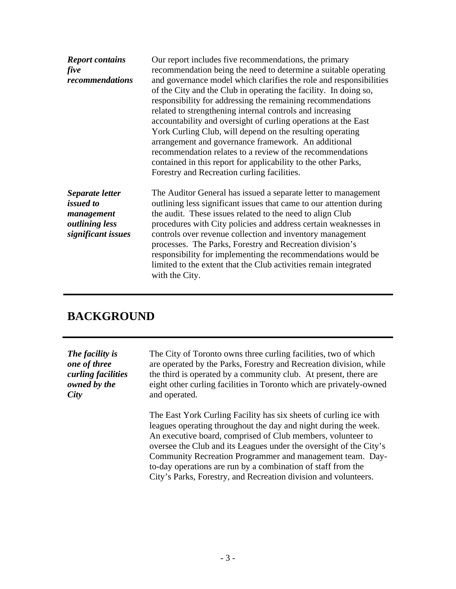| <b>Report contains</b> | Our report includes five recommendations, the primary               |
|------------------------|---------------------------------------------------------------------|
| five                   | recommendation being the need to determine a suitable operating     |
| recommendations        | and governance model which clarifies the role and responsibilities  |
|                        | of the City and the Club in operating the facility. In doing so,    |
|                        | responsibility for addressing the remaining recommendations         |
|                        | related to strengthening internal controls and increasing           |
|                        | accountability and oversight of curling operations at the East      |
|                        | York Curling Club, will depend on the resulting operating           |
|                        | arrangement and governance framework. An additional                 |
|                        | recommendation relates to a review of the recommendations           |
|                        | contained in this report for applicability to the other Parks,      |
|                        | Forestry and Recreation curling facilities.                         |
| Separate letter        | The Auditor General has issued a separate letter to management      |
| <i>issued to</i>       | outlining less significant issues that came to our attention during |
| management             | the audit. These issues related to the need to align Club           |
| <i>outlining less</i>  | procedures with City policies and address certain weaknesses in     |
| significant issues     | controls over revenue collection and inventory management           |
|                        | processes. The Parks, Forestry and Recreation division's            |
|                        | responsibility for implementing the recommendations would be        |
|                        | limited to the extent that the Club activities remain integrated    |
|                        | with the City.                                                      |
|                        |                                                                     |
|                        |                                                                     |
| <b>BACKGROUND</b>      |                                                                     |
|                        |                                                                     |
|                        |                                                                     |
|                        |                                                                     |
| The facility is        | The City of Toronto owns three curling facilities, two of which     |
| one of three           | are operated by the Parks, Forestry and Recreation division, while  |
| curling facilities     | the third is operated by a community club. At present, there are    |
| owned by the           | eight other curling facilities in Toronto which are privately-owned |
| City                   | and operated.                                                       |
|                        |                                                                     |
|                        | The East York Curling Facility has six sheets of curling ice with   |
|                        | leagues operating throughout the day and night during the week.     |
|                        | An executive board, comprised of Club members, volunteer to         |
|                        | oversee the Club and its Leagues under the oversight of the City's  |
|                        | Community Recreation Programmer and management team. Day-           |
|                        | to-day operations are run by a combination of staff from the        |
|                        | City's Parks, Forestry, and Recreation division and volunteers.     |
|                        |                                                                     |
|                        |                                                                     |
|                        |                                                                     |
|                        |                                                                     |
|                        |                                                                     |
|                        |                                                                     |
|                        |                                                                     |
|                        |                                                                     |
|                        | $-3-$                                                               |

## **BACKGROUND**

| The facility is    | The City of Toronto owns three curling facilities, two of which                                                                                                                                                                                                                                                                                                                                                                                                           |
|--------------------|---------------------------------------------------------------------------------------------------------------------------------------------------------------------------------------------------------------------------------------------------------------------------------------------------------------------------------------------------------------------------------------------------------------------------------------------------------------------------|
| one of three       | are operated by the Parks, Forestry and Recreation division, while                                                                                                                                                                                                                                                                                                                                                                                                        |
| curling facilities | the third is operated by a community club. At present, there are                                                                                                                                                                                                                                                                                                                                                                                                          |
| owned by the       | eight other curling facilities in Toronto which are privately-owned                                                                                                                                                                                                                                                                                                                                                                                                       |
| City               | and operated.                                                                                                                                                                                                                                                                                                                                                                                                                                                             |
|                    | The East York Curling Facility has six sheets of curling ice with<br>leagues operating throughout the day and night during the week.<br>An executive board, comprised of Club members, volunteer to<br>oversee the Club and its Leagues under the oversight of the City's<br>Community Recreation Programmer and management team. Day-<br>to-day operations are run by a combination of staff from the<br>City's Parks, Forestry, and Recreation division and volunteers. |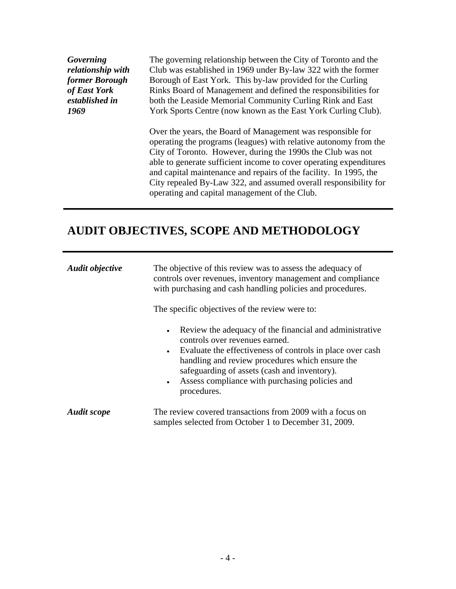# **AUDIT OBJECTIVES, SCOPE AND METHODOLOGY**

| <b>Governing</b><br>relationship with<br>former Borough<br>of East York<br>established in<br>1969 | The governing relationship between the City of Toronto and the<br>Club was established in 1969 under By-law 322 with the former<br>Borough of East York. This by-law provided for the Curling<br>Rinks Board of Management and defined the responsibilities for<br>both the Leaside Memorial Community Curling Rink and East<br>York Sports Centre (now known as the East York Curling Club).                                                                  |
|---------------------------------------------------------------------------------------------------|----------------------------------------------------------------------------------------------------------------------------------------------------------------------------------------------------------------------------------------------------------------------------------------------------------------------------------------------------------------------------------------------------------------------------------------------------------------|
|                                                                                                   | Over the years, the Board of Management was responsible for<br>operating the programs (leagues) with relative autonomy from the<br>City of Toronto. However, during the 1990s the Club was not<br>able to generate sufficient income to cover operating expenditures<br>and capital maintenance and repairs of the facility. In 1995, the<br>City repealed By-Law 322, and assumed overall responsibility for<br>operating and capital management of the Club. |
|                                                                                                   | <b>AUDIT OBJECTIVES, SCOPE AND METHODOLOGY</b>                                                                                                                                                                                                                                                                                                                                                                                                                 |
| <b>Audit objective</b>                                                                            | The objective of this review was to assess the adequacy of<br>controls over revenues, inventory management and compliance<br>with purchasing and cash handling policies and procedures.<br>The specific objectives of the review were to:                                                                                                                                                                                                                      |
|                                                                                                   | • Review the adequacy of the financial and administrative<br>controls over revenues earned.<br>• Evaluate the effectiveness of controls in place over cash<br>handling and review procedures which ensure the<br>safeguarding of assets (cash and inventory).<br>• Assess compliance with purchasing policies and<br>procedures.                                                                                                                               |
| <b>Audit scope</b>                                                                                | The review covered transactions from 2009 with a focus on<br>samples selected from October 1 to December 31, 2009.                                                                                                                                                                                                                                                                                                                                             |
|                                                                                                   |                                                                                                                                                                                                                                                                                                                                                                                                                                                                |
|                                                                                                   | $-4-$                                                                                                                                                                                                                                                                                                                                                                                                                                                          |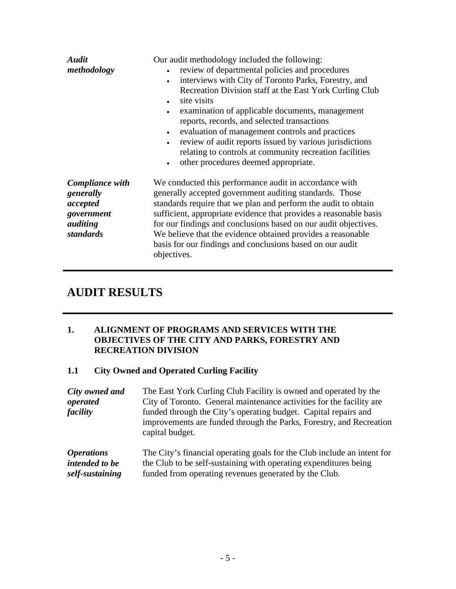| <b>Audit</b><br>methodology                                                     | Our audit methodology included the following:<br>review of departmental policies and procedures<br>interviews with City of Toronto Parks, Forestry, and<br>Recreation Division staff at the East York Curling Club<br>site visits<br>examination of applicable documents, management<br>reports, records, and selected transactions<br>evaluation of management controls and practices<br>review of audit reports issued by various jurisdictions<br>relating to controls at community recreation facilities<br>other procedures deemed appropriate. |  |
|---------------------------------------------------------------------------------|------------------------------------------------------------------------------------------------------------------------------------------------------------------------------------------------------------------------------------------------------------------------------------------------------------------------------------------------------------------------------------------------------------------------------------------------------------------------------------------------------------------------------------------------------|--|
| Compliance with<br>generally<br>accepted<br>government<br>auditing<br>standards | We conducted this performance audit in accordance with<br>generally accepted government auditing standards. Those<br>standards require that we plan and perform the audit to obtain<br>sufficient, appropriate evidence that provides a reasonable basis<br>for our findings and conclusions based on our audit objectives.<br>We believe that the evidence obtained provides a reasonable<br>basis for our findings and conclusions based on our audit<br>objectives.                                                                               |  |
| <b>AUDIT RESULTS</b><br>1.                                                      | ALIGNMENT OF PROGRAMS AND SERVICES WITH THE<br>OBJECTIVES OF THE CITY AND PARKS, FORESTRY AND<br><b>RECREATION DIVISION</b>                                                                                                                                                                                                                                                                                                                                                                                                                          |  |
| 1.1                                                                             | <b>City Owned and Operated Curling Facility</b>                                                                                                                                                                                                                                                                                                                                                                                                                                                                                                      |  |
| City owned and<br>operated<br>facility                                          | The East York Curling Club Facility is owned and operated by the<br>City of Toronto. General maintenance activities for the facility are<br>funded through the City's operating budget. Capital repairs and<br>improvements are funded through the Parks, Forestry, and Recreation<br>capital budget.                                                                                                                                                                                                                                                |  |
| <i><b>Operations</b></i><br><i>intended to be</i><br>self-sustaining            | The City's financial operating goals for the Club include an intent for<br>the Club to be self-sustaining with operating expenditures being<br>funded from operating revenues generated by the Club.                                                                                                                                                                                                                                                                                                                                                 |  |
|                                                                                 |                                                                                                                                                                                                                                                                                                                                                                                                                                                                                                                                                      |  |
|                                                                                 |                                                                                                                                                                                                                                                                                                                                                                                                                                                                                                                                                      |  |
|                                                                                 | $-5-$                                                                                                                                                                                                                                                                                                                                                                                                                                                                                                                                                |  |

## **AUDIT RESULTS**

#### **1. ALIGNMENT OF PROGRAMS AND SERVICES WITH THE OBJECTIVES OF THE CITY AND PARKS, FORESTRY AND RECREATION DIVISION**

## **1.1 City Owned and Operated Curling Facility**

*City owned and*  The East York Curling Club Facility is owned and operated by the *operated*  City of Toronto. General maintenance activities for the facility are *facility* funded through the City's operating budget. Capital repairs and improvements are funded through the Parks, Forestry, and Recreation capital budget.

| <i><b>Operations</b></i> | The City's financial operating goals for the Club include an intent for |
|--------------------------|-------------------------------------------------------------------------|
| intended to be           | the Club to be self-sustaining with operating expenditures being        |
| self-sustaining          | funded from operating revenues generated by the Club.                   |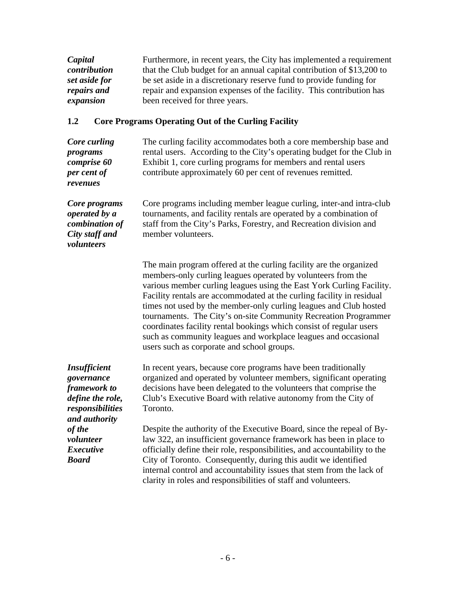| Capital       | Furthermore, in recent years, the City has implemented a requirement   |
|---------------|------------------------------------------------------------------------|
| contribution  | that the Club budget for an annual capital contribution of \$13,200 to |
| set aside for | be set aside in a discretionary reserve fund to provide funding for    |
| repairs and   | repair and expansion expenses of the facility. This contribution has   |
| expansion     | been received for three years.                                         |

## **1.2 Core Programs Operating Out of the Curling Facility**

| Capital<br>contribution              | Furthermore, in recent years, the City has implemented a requirement<br>that the Club budget for an annual capital contribution of \$13,200 to |
|--------------------------------------|------------------------------------------------------------------------------------------------------------------------------------------------|
| set aside for                        | be set aside in a discretionary reserve fund to provide funding for                                                                            |
| repairs and                          | repair and expansion expenses of the facility. This contribution has                                                                           |
| expansion                            | been received for three years.                                                                                                                 |
| $1.2\,$                              | <b>Core Programs Operating Out of the Curling Facility</b>                                                                                     |
| Core curling                         | The curling facility accommodates both a core membership base and                                                                              |
| programs                             | rental users. According to the City's operating budget for the Club in                                                                         |
| comprise 60<br>per cent of           | Exhibit 1, core curling programs for members and rental users<br>contribute approximately 60 per cent of revenues remitted.                    |
| revenues                             |                                                                                                                                                |
| Core programs                        | Core programs including member league curling, inter-and intra-club                                                                            |
| operated by a                        | tournaments, and facility rentals are operated by a combination of<br>staff from the City's Parks, Forestry, and Recreation division and       |
| combination of<br>City staff and     | member volunteers.                                                                                                                             |
| volunteers                           |                                                                                                                                                |
|                                      | The main program offered at the curling facility are the organized                                                                             |
|                                      | members-only curling leagues operated by volunteers from the                                                                                   |
|                                      | various member curling leagues using the East York Curling Facility.                                                                           |
|                                      | Facility rentals are accommodated at the curling facility in residual                                                                          |
|                                      | times not used by the member-only curling leagues and Club hosted<br>tournaments. The City's on-site Community Recreation Programmer           |
|                                      | coordinates facility rental bookings which consist of regular users                                                                            |
|                                      | such as community leagues and workplace leagues and occasional                                                                                 |
|                                      | users such as corporate and school groups.                                                                                                     |
| <b>Insufficient</b>                  | In recent years, because core programs have been traditionally                                                                                 |
| governance                           | organized and operated by volunteer members, significant operating                                                                             |
| <i>framework to</i>                  | decisions have been delegated to the volunteers that comprise the                                                                              |
| define the role,<br>responsibilities | Club's Executive Board with relative autonomy from the City of<br>Toronto.                                                                     |
| and authority                        |                                                                                                                                                |
| of the                               | Despite the authority of the Executive Board, since the repeal of By-                                                                          |
| volunteer                            | law 322, an insufficient governance framework has been in place to                                                                             |
| <i>Executive</i><br><b>Board</b>     | officially define their role, responsibilities, and accountability to the<br>City of Toronto. Consequently, during this audit we identified    |
|                                      | internal control and accountability issues that stem from the lack of                                                                          |
|                                      | clarity in roles and responsibilities of staff and volunteers.                                                                                 |
|                                      |                                                                                                                                                |
|                                      |                                                                                                                                                |
|                                      |                                                                                                                                                |
|                                      |                                                                                                                                                |
|                                      |                                                                                                                                                |
|                                      | $-6-$                                                                                                                                          |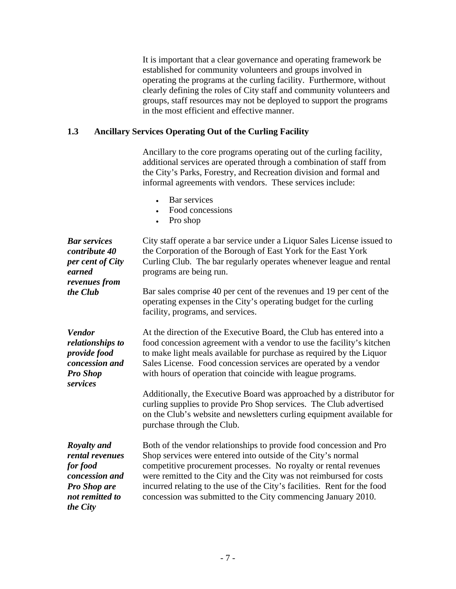It is important that a clear governance and operating framework be established for community volunteers and groups involved in operating the programs at the curling facility. Furthermore, without clearly defining the roles of City staff and community volunteers and groups, staff resources may not be deployed to support the programs in the most efficient and effective manner.

### **1.3 Ancillary Services Operating Out of the Curling Facility**

Ancillary to the core programs operating out of the curling facility, additional services are operated through a combination of staff from the City's Parks, Forestry, and Recreation division and formal and informal agreements with vendors. These services include:

- Bar services
- Food concessions **Food** concessions
- Pro shop

| <b>Bar services</b><br>contribute 40<br>per cent of City<br>earned<br><i>revenues from</i>                                | City staff operate a bar service under a Liquor Sales License issued to<br>the Corporation of the Borough of East York for the East York<br>Curling Club. The bar regularly operates whenever league and rental<br>programs are being run.                                                                                                                                                                                                                                                                                                                                                                     |  |  |  |
|---------------------------------------------------------------------------------------------------------------------------|----------------------------------------------------------------------------------------------------------------------------------------------------------------------------------------------------------------------------------------------------------------------------------------------------------------------------------------------------------------------------------------------------------------------------------------------------------------------------------------------------------------------------------------------------------------------------------------------------------------|--|--|--|
| the Club                                                                                                                  | Bar sales comprise 40 per cent of the revenues and 19 per cent of the<br>operating expenses in the City's operating budget for the curling<br>facility, programs, and services.                                                                                                                                                                                                                                                                                                                                                                                                                                |  |  |  |
| <b>Vendor</b><br>relationships to<br>provide food<br>concession and<br><b>Pro Shop</b><br>services                        | At the direction of the Executive Board, the Club has entered into a<br>food concession agreement with a vendor to use the facility's kitchen<br>to make light meals available for purchase as required by the Liquor<br>Sales License. Food concession services are operated by a vendor<br>with hours of operation that coincide with league programs.<br>Additionally, the Executive Board was approached by a distributor for<br>curling supplies to provide Pro Shop services. The Club advertised<br>on the Club's website and newsletters curling equipment available for<br>purchase through the Club. |  |  |  |
| <b>Royalty and</b><br>rental revenues<br>for food<br>concession and<br><b>Pro Shop are</b><br>not remitted to<br>the City | Both of the vendor relationships to provide food concession and Pro<br>Shop services were entered into outside of the City's normal<br>competitive procurement processes. No royalty or rental revenues<br>were remitted to the City and the City was not reimbursed for costs<br>incurred relating to the use of the City's facilities. Rent for the food<br>concession was submitted to the City commencing January 2010.                                                                                                                                                                                    |  |  |  |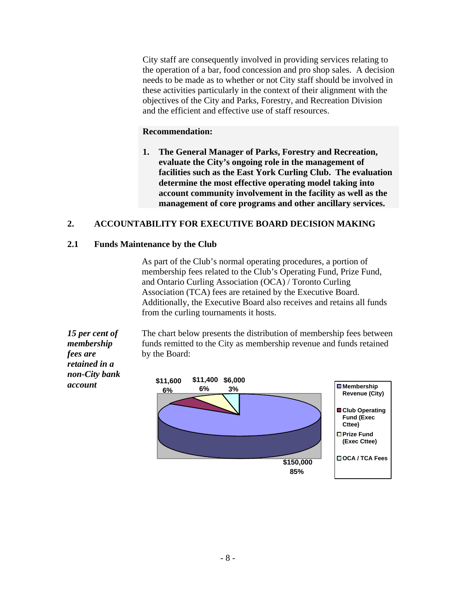the operation of a bar, food concession and pro shop sales. A decision needs to be made as to whether or not City staff should be involved in these activities particularly in the context of their alignment with the objectives of the City and Parks, Forestry, and Recreation Division and the efficient and effective use of staff resources.

#### **Recommendation:**

**1. The General Manager of Parks, Forestry and Recreation, evaluate the City's ongoing role in the management of facilities such as the East York Curling Club. The evaluation determine the most effective operating model taking into account community involvement in the facility as well as the management of core programs and other ancillary services.**

#### **2. ACCOUNTABILITY FOR EXECUTIVE BOARD DECISION MAKING**

#### **2.1 Funds Maintenance by the Club**

As part of the Club's normal operating procedures, a portion of membership fees related to the Club's Operating Fund, Prize Fund, and Ontario Curling Association (OCA) / Toronto Curling Association (TCA) fees are retained by the Executive Board. Additionally, the Executive Board also receives and retains all funds from the curling tournaments it hosts.

*fees are* by the Board: *retained in a non-City bank* 

*15 per cent of*  The chart below presents the distribution of membership fees between *membership*  funds remitted to the City as membership revenue and funds retained by the Board:  $\blacksquare$ 

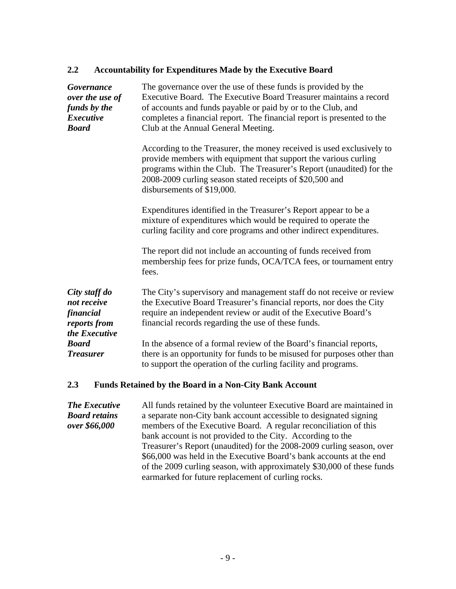#### **2.2 Accountability for Expenditures Made by the Executive Board**

| Governance<br>over the use of<br>funds by the<br><b>Executive</b><br><b>Board</b> | The governance over the use of these funds is provided by the<br>Executive Board. The Executive Board Treasurer maintains a record<br>of accounts and funds payable or paid by or to the Club, and<br>completes a financial report. The financial report is presented to the<br>Club at the Annual General Meeting. |  |  |
|-----------------------------------------------------------------------------------|---------------------------------------------------------------------------------------------------------------------------------------------------------------------------------------------------------------------------------------------------------------------------------------------------------------------|--|--|
|                                                                                   | According to the Treasurer, the money received is used exclusively to<br>provide members with equipment that support the various curling<br>programs within the Club. The Treasurer's Report (unaudited) for the<br>2008-2009 curling season stated receipts of \$20,500 and<br>disbursements of \$19,000.          |  |  |
|                                                                                   | Expenditures identified in the Treasurer's Report appear to be a<br>mixture of expenditures which would be required to operate the<br>curling facility and core programs and other indirect expenditures.                                                                                                           |  |  |
|                                                                                   | The report did not include an accounting of funds received from<br>membership fees for prize funds, OCA/TCA fees, or tournament entry<br>fees.                                                                                                                                                                      |  |  |
| City staff do<br>not receive<br>financial<br>reports from<br>the Executive        | The City's supervisory and management staff do not receive or review<br>the Executive Board Treasurer's financial reports, nor does the City<br>require an independent review or audit of the Executive Board's<br>financial records regarding the use of these funds.                                              |  |  |
| <b>Board</b><br><b>Treasurer</b>                                                  | In the absence of a formal review of the Board's financial reports,<br>there is an opportunity for funds to be misused for purposes other than<br>to support the operation of the curling facility and programs.                                                                                                    |  |  |
| 2.3                                                                               | <b>Funds Retained by the Board in a Non-City Bank Account</b>                                                                                                                                                                                                                                                       |  |  |

*The Executive*  All funds retained by the volunteer Executive Board are maintained in *Board retains*  a separate non-City bank account accessible to designated signing *over \$66,000* members of the Executive Board. A regular reconciliation of this bank account is not provided to the City. According to the Treasurer's Report (unaudited) for the 2008-2009 curling season, over \$66,000 was held in the Executive Board's bank accounts at the end of the 2009 curling season, with approximately \$30,000 of these funds earmarked for future replacement of curling rocks.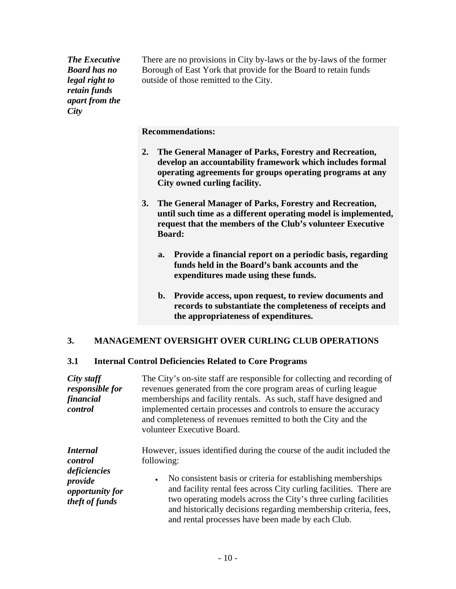*retain funds apart from the City* 

**The Executive** There are no provisions in City by-laws or the by-laws of the former *Board has no*  Borough of East York that provide for the Board to retain funds *legal right to*  outside of those remitted to the City.

**Recommendations:**

- **2. The General Manager of Parks, Forestry and Recreation, develop an accountability framework which includes formal operating agreements for groups operating programs at any City owned curling facility.**
- **3. The General Manager of Parks, Forestry and Recreation, until such time as a different operating model is implemented, request that the members of the Club's volunteer Executive Board:**
	- **a. Provide a financial report on a periodic basis, regarding funds held in the Board's bank accounts and the expenditures made using these funds.**
	- **b. Provide access, upon request, to review documents and records to substantiate the completeness of receipts and the appropriateness of expenditures.**

#### **3. MANAGEMENT OVERSIGHT OVER CURLING CLUB OPERATIONS**

#### **3.1 Internal Control Deficiencies Related to Core Programs**

| City staff             | The City's on-site staff are responsible for collecting and recording of |  |  |
|------------------------|--------------------------------------------------------------------------|--|--|
| <i>responsible for</i> | revenues generated from the core program areas of curling league         |  |  |
| financial              | memberships and facility rentals. As such, staff have designed and       |  |  |
| control                | implemented certain processes and controls to ensure the accuracy        |  |  |
|                        | and completeness of revenues remitted to both the City and the           |  |  |
|                        | volunteer Executive Board.                                               |  |  |
|                        |                                                                          |  |  |
| <b>Internal</b>        | However, issues identified during the course of the audit included the   |  |  |
| control                | following:                                                               |  |  |
| deficiencies           |                                                                          |  |  |
| provide                | • No consistent basis or criteria for establishing memberships           |  |  |
| opportunity for        | and facility rental fees across City curling facilities. There are       |  |  |
| theft of funds         | two operating models across the City's three curling facilities          |  |  |
|                        | and historically decisions regarding membership criteria, fees,          |  |  |
|                        | and rental processes have been made by each Club.                        |  |  |
|                        |                                                                          |  |  |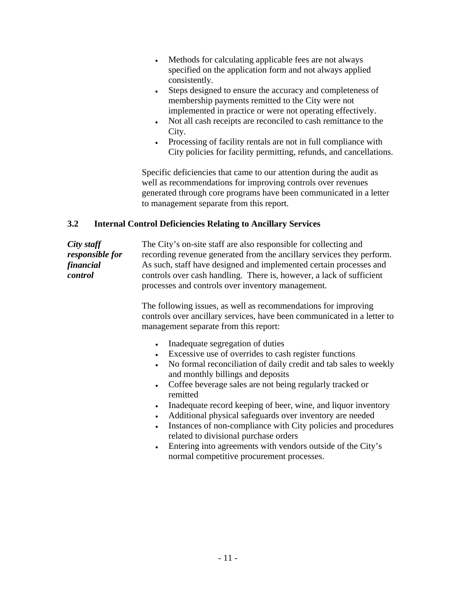- $\bullet$ specified on the application form and not always applied consistently.
- $\bullet$ Steps designed to ensure the accuracy and completeness of membership payments remitted to the City were not implemented in practice or were not operating effectively.
- $\bullet$ Not all cash receipts are reconciled to cash remittance to the City.
- $\bullet$ Processing of facility rentals are not in full compliance with City policies for facility permitting, refunds, and cancellations.

Specific deficiencies that came to our attention during the audit as well as recommendations for improving controls over revenues generated through core programs have been communicated in a letter to management separate from this report.

#### **3.2 Internal Control Deficiencies Relating to Ancillary Services**

Mehods for calculating upplicable fees are not always applied<br>Specified on the application form and not always applied<br>consistently.<br>Consistently by experiment that accuracy and completeness of<br>the membership payments rem *City staff*  The City's on-site staff are also responsible for collecting and *responsible for* recording revenue generated from the ancillary services they perform. *financial*  As such, staff have designed and implemented certain processes and *control*  controls over cash handling. There is, however, a lack of sufficient processes and controls over inventory management.

The following issues, as well as recommendations for improving controls over ancillary services, have been communicated in a letter to management separate from this report:

- Inadequate segregation of duties  $\bullet$
- Excessive use of overrides to cash register functions  $\bullet$
- No formal reconciliation of daily credit and tab sales to weekly  $\bullet$ and monthly billings and deposits
- Coffee beverage sales are not being regularly tracked or  $\bullet$ remitted
- $\bullet$ Inadequate record keeping of beer, wine, and liquor inventory
- Additional physical safeguards over inventory are needed
- Instances of non-compliance with City policies and procedures  $\bullet$ related to divisional purchase orders
- Entering into agreements with vendors outside of the City's  $\bullet$ normal competitive procurement processes.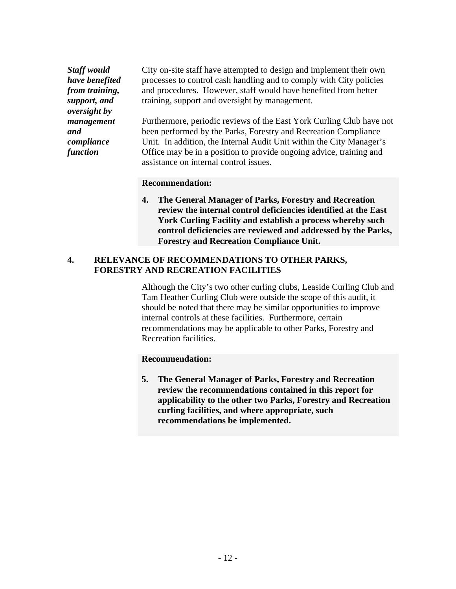*oversight by* 

*Staff would*  City on-site staff have attempted to design and implement their own *have benefited* processes to control cash handling and to comply with City policies *from training,*  and procedures. However, staff would have benefited from better *support, and*  training, support and oversight by management.

*management* Furthermore, periodic reviews of the East York Curling Club have not *and*  been performed by the Parks, Forestry and Recreation Compliance *compliance*  Unit. In addition, the Internal Audit Unit within the City Manager's *function* Office may be in a position to provide ongoing advice, training and assistance on internal control issues.

#### **Recommendation:**

**4. The General Manager of Parks, Forestry and Recreation review the internal control deficiencies identified at the East York Curling Facility and establish a process whereby such control deficiencies are reviewed and addressed by the Parks,** 

# **Forestry and Recreation Compliance Unit. 4. RELEVANCE OF RECOMMENDATIONS TO OTHER PARKS, FORESTRY AND RECREATION FACILITIES**

Although the City's two other curling clubs, Leaside Curling Club and Tam Heather Curling Club were outside the scope of this audit, it should be noted that there may be similar opportunities to improve internal controls at these facilities. Furthermore, certain recommendations may be applicable to other Parks, Forestry and Recreation facilities.

#### **Recommendation:**

**5. The General Manager of Parks, Forestry and Recreation review the recommendations contained in this report for applicability to the other two Parks, Forestry and Recreation curling facilities, and where appropriate, such recommendations be implemented.**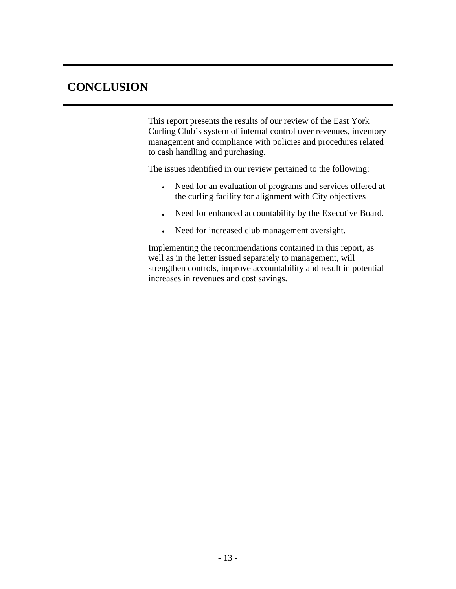**CONCLUSION**<br>
This report presents the results of our review of the East York<br>
Curing Cubi's system of internal control over revenues; inventory<br>
management and complisione with policies and procedures related<br>
to each int This report presents the results of our review of the East York Curling Club's system of internal control over revenues, inventory management and compliance with policies and procedures related to cash handling and purchasing.

The issues identified in our review pertained to the following:

- Need for an evaluation of programs and services offered at the curling facility for alignment with City objectives
- Need for enhanced accountability by the Executive Board.
- Need for increased club management oversight.

Implementing the recommendations contained in this report, as well as in the letter issued separately to management, will strengthen controls, improve accountability and result in potential increases in revenues and cost savings.